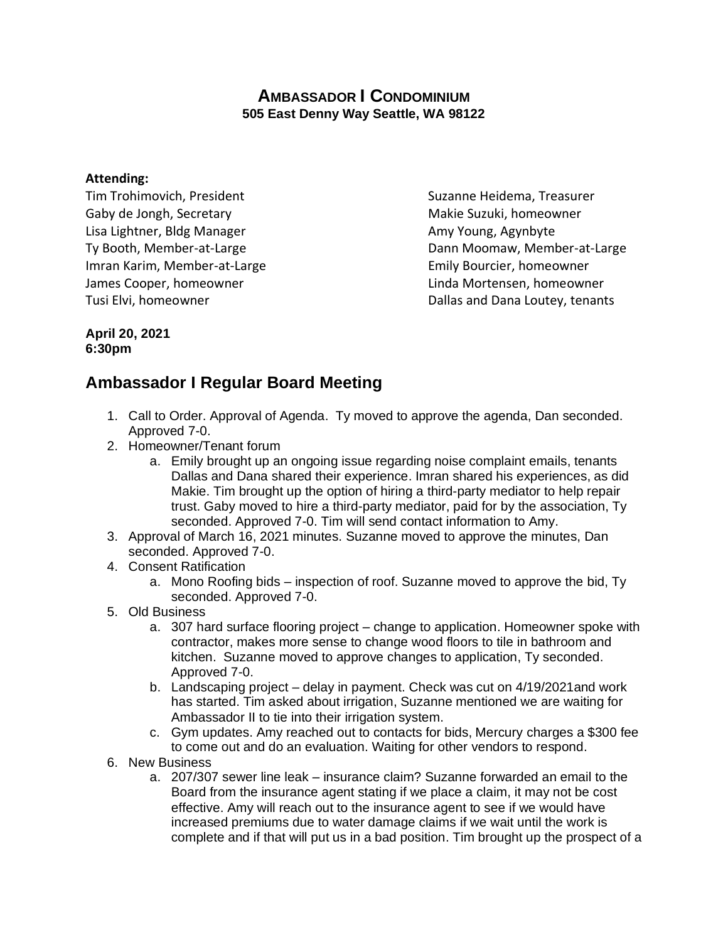## **AMBASSADOR I CONDOMINIUM 505 East Denny Way Seattle, WA 98122**

## **Attending:**

Tim Trohimovich, President Suzanne Heidema, Treasurer Gaby de Jongh, Secretary Makie Suzuki, homeowner Lisa Lightner, Bldg Manager **Amy Young, Agynbyte** Amy Young, Agynbyte Imran Karim, Member-at-Large **Emily Bourcier, homeowner** James Cooper, homeowner Linda Mortensen, homeowner

Ty Booth, Member-at-Large Ty Booth, Member-at-Large Dann Moomaw, Member-at-Large Tusi Elvi, homeowner **Dallas and Dana Loutey, tenants** 

## **April 20, 2021 6:30pm**

## **Ambassador I Regular Board Meeting**

- 1. Call to Order. Approval of Agenda. Ty moved to approve the agenda, Dan seconded. Approved 7-0.
- 2. Homeowner/Tenant forum
	- a. Emily brought up an ongoing issue regarding noise complaint emails, tenants Dallas and Dana shared their experience. Imran shared his experiences, as did Makie. Tim brought up the option of hiring a third-party mediator to help repair trust. Gaby moved to hire a third-party mediator, paid for by the association, Ty seconded. Approved 7-0. Tim will send contact information to Amy.
- 3. Approval of March 16, 2021 minutes. Suzanne moved to approve the minutes, Dan seconded. Approved 7-0.
- 4. Consent Ratification
	- a. Mono Roofing bids inspection of roof. Suzanne moved to approve the bid, Ty seconded. Approved 7-0.
- 5. Old Business
	- a. 307 hard surface flooring project change to application. Homeowner spoke with contractor, makes more sense to change wood floors to tile in bathroom and kitchen. Suzanne moved to approve changes to application, Ty seconded. Approved 7-0.
	- b. Landscaping project delay in payment. Check was cut on 4/19/2021and work has started. Tim asked about irrigation, Suzanne mentioned we are waiting for Ambassador II to tie into their irrigation system.
	- c. Gym updates. Amy reached out to contacts for bids, Mercury charges a \$300 fee to come out and do an evaluation. Waiting for other vendors to respond.
- 6. New Business
	- a. 207/307 sewer line leak insurance claim? Suzanne forwarded an email to the Board from the insurance agent stating if we place a claim, it may not be cost effective. Amy will reach out to the insurance agent to see if we would have increased premiums due to water damage claims if we wait until the work is complete and if that will put us in a bad position. Tim brought up the prospect of a